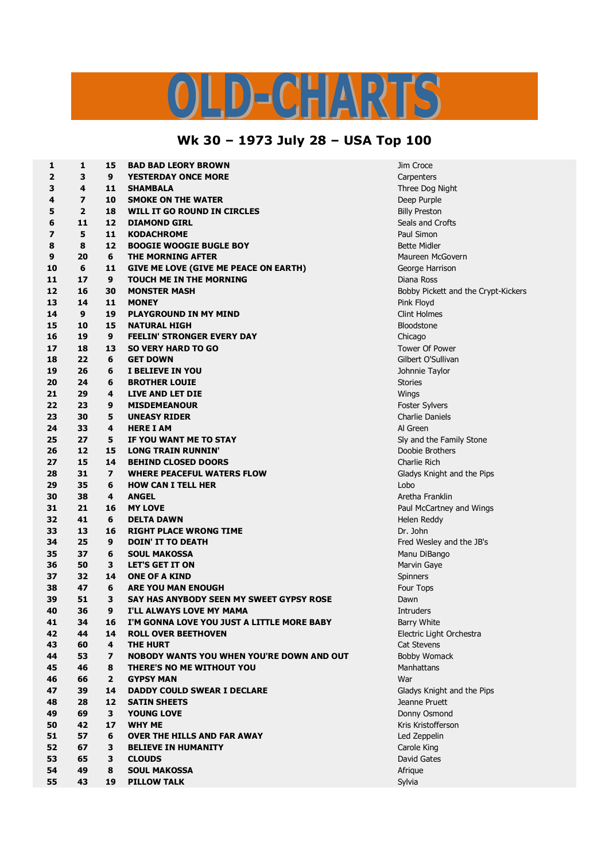## LD-CHARTS

## **Wk 30 – 1973 July 28 – USA Top 100**

| 1                       | 1                       | 15             | <b>BAD BAD LEORY BROWN</b>                       | Jim Croce                           |
|-------------------------|-------------------------|----------------|--------------------------------------------------|-------------------------------------|
| 2                       | 3                       | 9              | <b>YESTERDAY ONCE MORE</b>                       | Carpenters                          |
| 3                       | 4                       | 11             | <b>SHAMBALA</b>                                  | Three Dog Night                     |
| 4                       | $\overline{\mathbf{z}}$ | 10             | <b>SMOKE ON THE WATER</b>                        | Deep Purple                         |
| 5                       | $\overline{2}$          | 18             | WILL IT GO ROUND IN CIRCLES                      | <b>Billy Preston</b>                |
| 6                       | 11                      | 12             | <b>DIAMOND GIRL</b>                              | Seals and Crofts                    |
| $\overline{\mathbf{z}}$ | 5                       | 11             | <b>KODACHROME</b>                                | Paul Simon                          |
| 8                       | 8                       | 12             | <b>BOOGIE WOOGIE BUGLE BOY</b>                   | <b>Bette Midler</b>                 |
| 9                       | 20                      | 6              | THE MORNING AFTER                                | Maureen McGovern                    |
| 10                      | 6                       | 11             | <b>GIVE ME LOVE (GIVE ME PEACE ON EARTH)</b>     | George Harrison                     |
| 11                      | 17                      | 9              | <b>TOUCH ME IN THE MORNING</b>                   | Diana Ross                          |
| 12                      | 16                      | 30             | <b>MONSTER MASH</b>                              | Bobby Pickett and the Crypt-Kickers |
| 13                      | 14                      | 11             | <b>MONEY</b>                                     | Pink Floyd                          |
| 14                      | $\boldsymbol{9}$        | 19             | <b>PLAYGROUND IN MY MIND</b>                     | <b>Clint Holmes</b>                 |
| 15                      |                         | 15             |                                                  |                                     |
|                         | 10                      | 9              | <b>NATURAL HIGH</b>                              | <b>Bloodstone</b>                   |
| 16                      | 19                      |                | <b>FEELIN' STRONGER EVERY DAY</b>                | Chicago                             |
| 17                      | 18                      | 13             | <b>SO VERY HARD TO GO</b>                        | Tower Of Power                      |
| 18                      | 22                      | 6              | <b>GET DOWN</b>                                  | Gilbert O'Sullivan                  |
| 19                      | 26                      | 6              | I BELIEVE IN YOU                                 | Johnnie Taylor                      |
| 20                      | 24                      | 6              | <b>BROTHER LOUIE</b>                             | <b>Stories</b>                      |
| 21                      | 29                      | 4              | LIVE AND LET DIE                                 | Wings                               |
| 22                      | 23                      | 9              | <b>MISDEMEANOUR</b>                              | Foster Sylvers                      |
| 23                      | 30                      | 5              | <b>UNEASY RIDER</b>                              | <b>Charlie Daniels</b>              |
| 24                      | 33                      | 4              | <b>HERE I AM</b>                                 | Al Green                            |
| 25                      | 27                      | 5              | IF YOU WANT ME TO STAY                           | Sly and the Family Stone            |
| 26                      | 12                      | 15             | <b>LONG TRAIN RUNNIN'</b>                        | Doobie Brothers                     |
| 27                      | 15                      | 14             | <b>BEHIND CLOSED DOORS</b>                       | Charlie Rich                        |
| 28                      | 31                      | $\overline{ }$ | <b>WHERE PEACEFUL WATERS FLOW</b>                | Gladys Knight and the Pips          |
| 29                      | 35                      | 6              | <b>HOW CAN I TELL HER</b>                        | Lobo                                |
| 30                      | 38                      | 4              | <b>ANGEL</b>                                     | Aretha Franklin                     |
| 31                      | 21                      | 16             | <b>MY LOVE</b>                                   | Paul McCartney and Wings            |
| 32                      | 41                      | 6              | <b>DELTA DAWN</b>                                | Helen Reddy                         |
| 33                      | 13                      | 16             | <b>RIGHT PLACE WRONG TIME</b>                    | Dr. John                            |
| 34                      | 25                      | 9              | <b>DOIN' IT TO DEATH</b>                         | Fred Wesley and the JB's            |
| 35                      | 37                      | 6              | <b>SOUL MAKOSSA</b>                              | Manu DiBango                        |
| 36                      | 50                      | 3              | <b>LET'S GET IT ON</b>                           | Marvin Gaye                         |
| 37                      | 32                      | 14             | <b>ONE OF A KIND</b>                             | Spinners                            |
| 38                      | 47                      | 6              | <b>ARE YOU MAN ENOUGH</b>                        | Four Tops                           |
| 39                      | 51                      | 3              | SAY HAS ANYBODY SEEN MY SWEET GYPSY ROSE         | Dawn                                |
| 40                      | 36                      | 9              | I'LL ALWAYS LOVE MY MAMA                         | Intruders                           |
| 41                      | 34                      | 16             | I'M GONNA LOVE YOU JUST A LITTLE MORE BABY       | <b>Barry White</b>                  |
| 42                      | 44                      | 14             | <b>ROLL OVER BEETHOVEN</b>                       | Electric Light Orchestra            |
| 43                      | 60                      | 4              | <b>THE HURT</b>                                  | Cat Stevens                         |
| 44                      | 53                      | 7              | <b>NOBODY WANTS YOU WHEN YOU'RE DOWN AND OUT</b> | <b>Bobby Womack</b>                 |
| 45                      | 46                      | 8              | THERE'S NO ME WITHOUT YOU                        | <b>Manhattans</b>                   |
| 46                      | 66                      | $\mathbf{2}$   | <b>GYPSY MAN</b>                                 | War                                 |
| 47                      | 39                      | 14             | <b>DADDY COULD SWEAR I DECLARE</b>               | Gladys Knight and the Pips          |
| 48                      | 28                      | 12             | <b>SATIN SHEETS</b>                              | Jeanne Pruett                       |
| 49                      | 69                      | 3              | <b>YOUNG LOVE</b>                                | Donny Osmond                        |
| 50                      | 42                      | 17             | <b>WHY ME</b>                                    | Kris Kristofferson                  |
| 51                      | 57                      | 6              | OVER THE HILLS AND FAR AWAY                      | Led Zeppelin                        |
|                         |                         |                |                                                  |                                     |
| 52                      | 67                      | 3              | <b>BELIEVE IN HUMANITY</b>                       | Carole King                         |
| 53                      | 65                      | з              | <b>CLOUDS</b>                                    | David Gates                         |
| 54                      | 49                      | 8              | <b>SOUL MAKOSSA</b>                              | Afrique                             |
| 55                      | 43                      | 19             | <b>PILLOW TALK</b>                               | Sylvia                              |